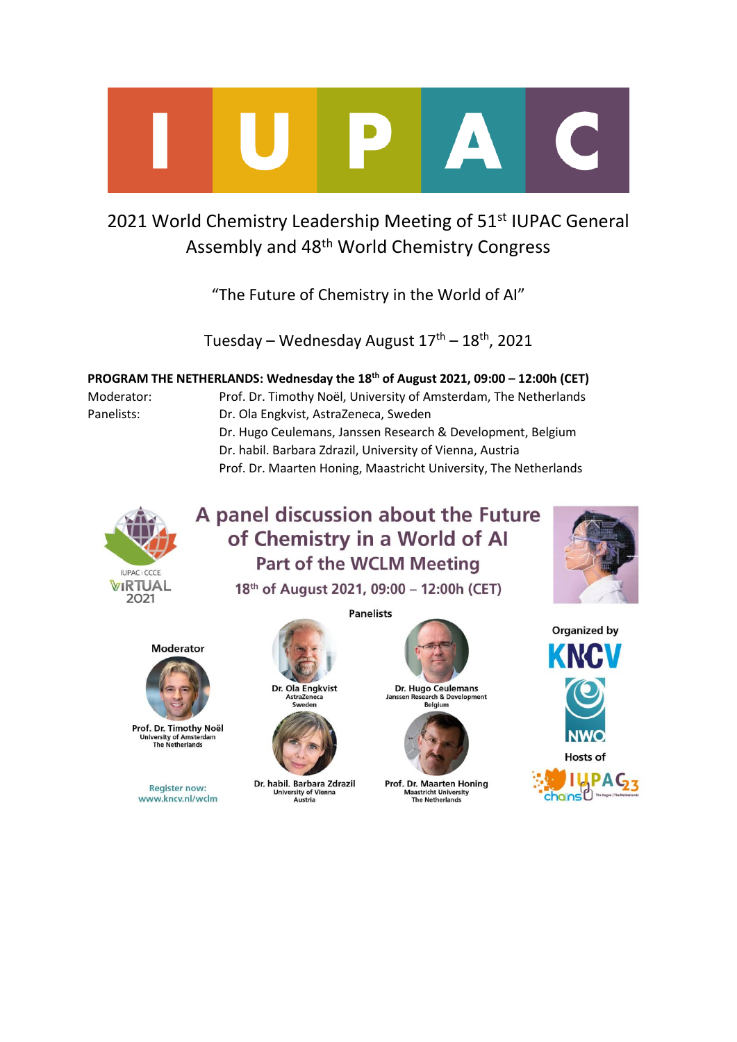

# 2021 World Chemistry Leadership Meeting of 51<sup>st</sup> IUPAC General Assembly and 48th World Chemistry Congress

"The Future of Chemistry in the World of AI"

Tuesday – Wednesday August  $17<sup>th</sup>$  –  $18<sup>th</sup>$ , 2021

**PROGRAM THE NETHERLANDS: Wednesday the 18th of August 2021, 09:00 – 12:00h (CET)**

Moderator: Prof. Dr. Timothy Noël, University of Amsterdam, The Netherlands Panelists: Dr. Ola Engkvist, AstraZeneca, Sweden Dr. Hugo Ceulemans, Janssen Research & Development, Belgium Dr. habil. Barbara Zdrazil, University of Vienna, Austria Prof. Dr. Maarten Honing, Maastricht University, The Netherlands



# A panel discussion about the Future of Chemistry in a World of Al **Part of the WCLM Meeting**

18th of August 2021, 09:00 - 12:00h (CET)

**Panelists** 







Prof. Dr. Timothy Noël **University of Amsterda<br>The Netherlands** 

**Register now:** www.kncv.nl/wclm

Dr. Ola Engkvist

AstraZeneca

Sweden

Dr. habil. Barbara Zdrazil

apii. Dar Dara Zu<br>University of Vienna<br>Austria



Dr. Hugo Ceulemans lans rch & Development Belgium



Prof. Dr. Maarten Honing Maastricht University<br>The Netherlands



nainsl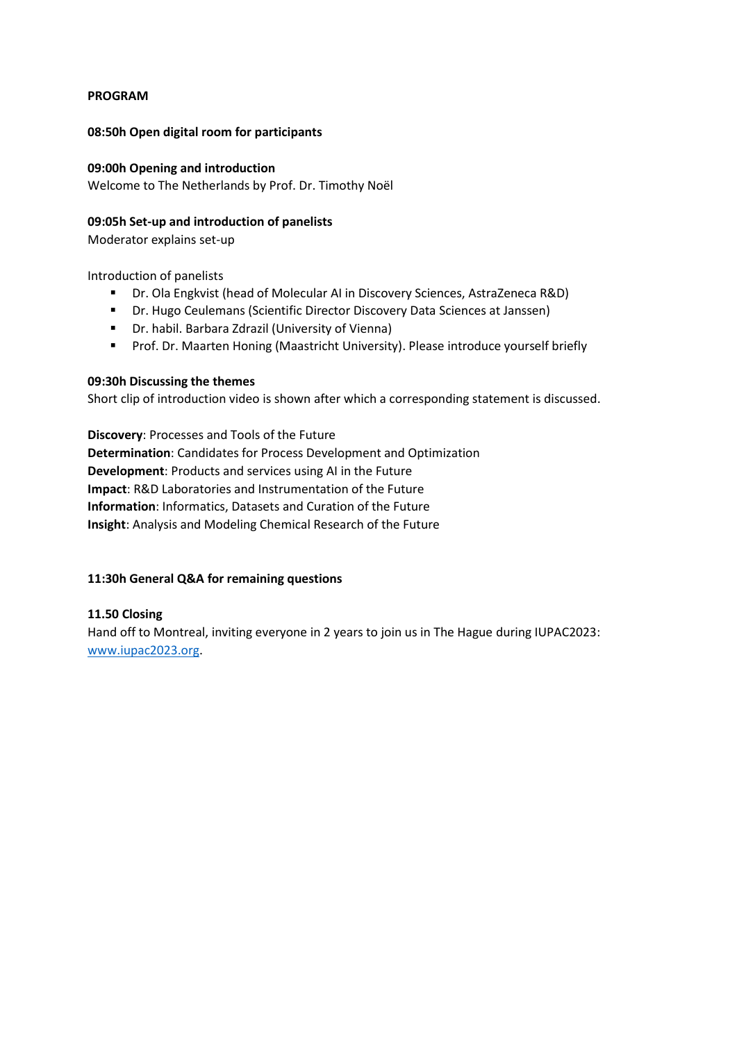# **PROGRAM**

# **08:50h Open digital room for participants**

# **09:00h Opening and introduction**

Welcome to The Netherlands by Prof. Dr. Timothy Noël

## **09:05h Set-up and introduction of panelists**

Moderator explains set-up

Introduction of panelists

- Dr. Ola Engkvist (head of Molecular AI in Discovery Sciences, AstraZeneca R&D)
- Dr. Hugo Ceulemans (Scientific Director Discovery Data Sciences at Janssen)
- Dr. habil. Barbara Zdrazil (University of Vienna)
- Prof. Dr. Maarten Honing (Maastricht University). Please introduce yourself briefly

## **09:30h Discussing the themes**

Short clip of introduction video is shown after which a corresponding statement is discussed.

**Discovery**: Processes and Tools of the Future **Determination**: Candidates for Process Development and Optimization **Development**: Products and services using AI in the Future **Impact**: R&D Laboratories and Instrumentation of the Future **Information**: Informatics, Datasets and Curation of the Future **Insight**: Analysis and Modeling Chemical Research of the Future

# **11:30h General Q&A for remaining questions**

# **11.50 Closing**

Hand off to Montreal, inviting everyone in 2 years to join us in The Hague during IUPAC2023: [www.iupac2023.org.](http://www.iupac2023.org/)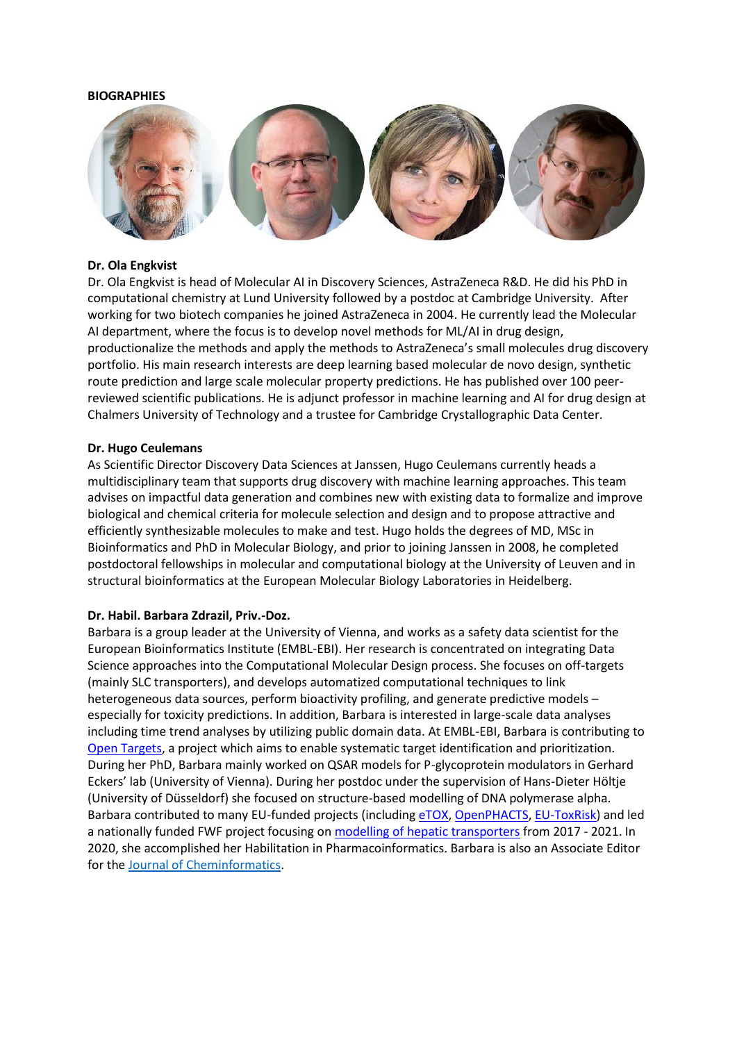#### **BIOGRAPHIES**



#### **Dr. Ola Engkvist**

Dr. Ola Engkvist is head of Molecular AI in Discovery Sciences, AstraZeneca R&D. He did his PhD in computational chemistry at Lund University followed by a postdoc at Cambridge University. After working for two biotech companies he joined AstraZeneca in 2004. He currently lead the Molecular AI department, where the focus is to develop novel methods for ML/AI in drug design, productionalize the methods and apply the methods to AstraZeneca's small molecules drug discovery portfolio. His main research interests are deep learning based molecular de novo design, synthetic route prediction and large scale molecular property predictions. He has published over 100 peerreviewed scientific publications. He is adjunct professor in machine learning and AI for drug design at Chalmers University of Technology and a trustee for Cambridge Crystallographic Data Center.

#### **Dr. Hugo Ceulemans**

As Scientific Director Discovery Data Sciences at Janssen, Hugo Ceulemans currently heads a multidisciplinary team that supports drug discovery with machine learning approaches. This team advises on impactful data generation and combines new with existing data to formalize and improve biological and chemical criteria for molecule selection and design and to propose attractive and efficiently synthesizable molecules to make and test. Hugo holds the degrees of MD, MSc in Bioinformatics and PhD in Molecular Biology, and prior to joining Janssen in 2008, he completed postdoctoral fellowships in molecular and computational biology at the University of Leuven and in structural bioinformatics at the European Molecular Biology Laboratories in Heidelberg.

#### **Dr. Habil. Barbara Zdrazil, Priv.-Doz.**

Barbara is a group leader at the University of Vienna, and works as a safety data scientist for the European Bioinformatics Institute (EMBL-EBI). Her research is concentrated on integrating Data Science approaches into the Computational Molecular Design process. She focuses on off-targets (mainly SLC transporters), and develops automatized computational techniques to link heterogeneous data sources, perform bioactivity profiling, and generate predictive models – especially for toxicity predictions. In addition, Barbara is interested in large-scale data analyses including time trend analyses by utilizing public domain data. At EMBL-EBI, Barbara is contributing to [Open Targets,](https://www.opentargets.org/) a project which aims to enable systematic target identification and prioritization. During her PhD, Barbara mainly worked on QSAR models for P-glycoprotein modulators in Gerhard Eckers' lab (University of Vienna). During her postdoc under the supervision of Hans-Dieter Höltje (University of Düsseldorf) she focused on structure-based modelling of DNA polymerase alpha. Barbara contributed to many EU-funded projects (including [eTOX,](https://pharminfo.univie.ac.at/projects/finished-projects/etox/) [OpenPHACTS,](https://pharminfo.univie.ac.at/projects/finished-projects/open-phacts/) [EU-ToxRisk\)](https://pharminfo.univie.ac.at/projects/eu-toxrisk/) and led a nationally funded FWF project focusing on [modelling of hepatic transporters](https://homepage.univie.ac.at/barbara.zdrazil/research/elucidating-hepatic-oatp-ligand-interactions-and-selectivity/) from 2017 - 2021. In 2020, she accomplished her Habilitation in Pharmacoinformatics. Barbara is also an Associate Editor for the [Journal of Cheminformatics.](https://jcheminf.biomedcentral.com/)